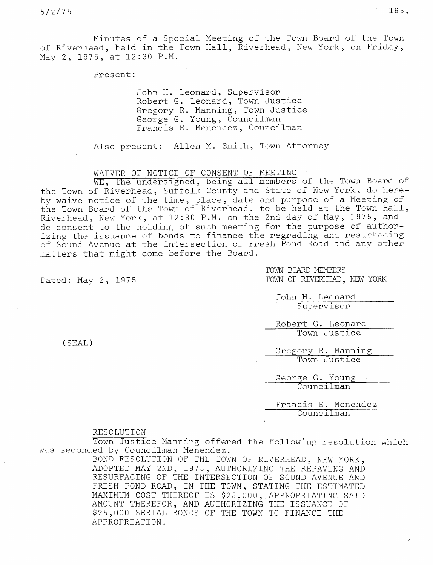Minutes of a Special Meeting of the Town Board of the Town of Riverhead, held in the Town Hall, Riverhead, New York, on Friday, May 2, 1975, at 12:30 P.M.

Present:

John H. Leonard, Supervisor Robert G. Leonard, Town Justice Gregory R. Manning, Town Justice George G. Young, Councilman Francis E. Menendez, Councilman

Also present: Allen M. Smith, Town Attorney

## WAIVER OF NOTICE OF CONSENT OF MEETI

WE, the undersigned, being all members of the Town Board of the Town of Riverhead, Suffolk County and State of New York, do hereby waive notice of the time, place, date and purpose of a Meeting of the Town Board of the Town of Riverhead, to be held at the Town Hall, Riverhead, New York, at 12:30 P.M. on the 2nd day of May, 1975, and do consent to the holding of such meeting for the purpose of authorizing the issuance of bonds to finance the regrading and resurfacing of Sound Avenue at the intersection of Fresh Pond Road and any other matters that might come before the Board.

TOWN BOARD MEMBERS Dated: May 2, 1975 TOWN OF RIVERHEAD, NEW YORK

> John H. Leonard Supervisor

Robert G. Leon Town Just

Gregory R. Manning Town Justice

George G. Young Councilman

Francis E. Menendez Councilman

## RESOLUTION

Town Justice Manning offered the following resolution which was seconded by Councilman Menendez.

BOND RESOLUTION OF THE TOWN OF RIVERHEAD, NEW YORK, ADOPTED MAY 2ND, 1975, AUTHORIZING THE REPAVING AND RESURFACING OF THE INTERSECTION OF SOUND AVENUE AND FRESH POND ROAD, IN THE TOWN, STATING THE ESTIMATED MAXIMUM COST THEREOF IS \$25,000, APPROPRIATING SAID AMOUNT THEREFOR, AND AUTHORIZING THE ISSUANCE OF \$25,000 SERIAL BONDS OF THE TOWN TO FINANCE THE APPROPRIATION.

(SEAL)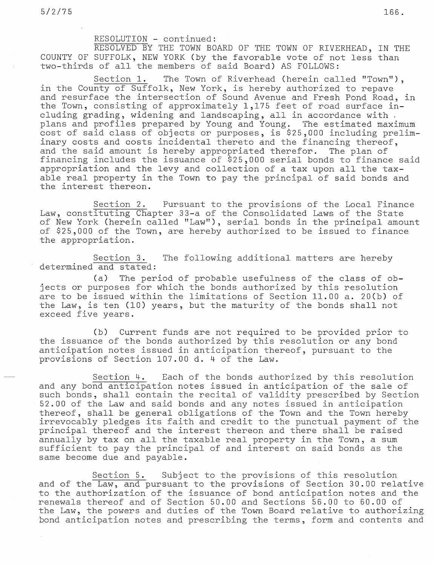## RESOLUTION - continued:

RESOLVED BY THE TOWN BOARD OF THE TOWN OF RIVERHEAD, IN THE COUNTY OF SUFFOLK, NEW YORK (by the favorable vote of not less than two-thirds of all the members of said Board) AS FOLLOWS:

Section 1. The Town of Riverhead (herein called "Town"), in the County of Suffolk, New York, is hereby authorized to repave and resurface the intersection of Sound Avenue and Fresh Pond Road, in the Town, consisting of approximately 1,175 feet of road surface including grading, widening and landscaping, all in accordance with plans and profiles prepared by Young and Young. The estimated maximum cost of said class of objects or purposes, is \$25,000 including preliminary costs and costs incidental thereto and the financing thereof, and the said amount is hereby appropriated therefor. The plan of financing includes the issuance of \$25,000 serial bonds to finance said appropriation and the levy and collection of a tax upon all the taxable real property in the Town to pay the principal of said bonds and the interest thereon.

Section 2. Pursuant to the provisions of the Local Finance Law, constituting Chapter 33-a of the Consolidated Laws of the State of New York (herein called "Law"), serial bonds in the principal amount of \$25,000 of the Town, are hereby authorized to be issued to finance the appropriation.

Section 3. The following additional matters are hereby determined and stated:

(a) The period of probable usefulness of the class of objects or purposes for which the bonds authorized by this resolution are to be issued within the limitations of Section 11.00 a. 20(b) of the Law, is ten (10) years, but the maturity of the bonds shall not exceed five years.

(b) Current funds are not required to be provided prior to the issuance of the bonds authorized by this resolution or any bond anticipation notes issued in anticipation thereof, pursuant to the provisions of Section 107.00 d. 4 of the Law.

Section 4. Each of the bonds authorized by this resolution and any bond anticipation notes issued in anticipation of the sale of such bonds, shall contain the recital of validity prescribed by Section 52.00 of the Law and said bonds and any notes issued in anticipation thereof, shall be general obligations of the Town and the Town hereby irrevocably pledges its faith and credit to the punctual payment of the principal thereof and the interest thereon and there shall be raised annually by tax on all the taxable real property in the Town, a sum sufficient to pay the principal of and interest on said bonds as the same become due and payable.

Section 5. Subject to the provisions of this resolution and of the Law, and pursuant to the provisions of Section 30.00 relative to the authorization of the issuance of bond anticipation notes and th renewals thereof and of Section 50.00 and Sections 56.00 to 60.00 of the Law, the powers and duties of the Town Board relative to authorizing bond anticipation notes and prescribing the terms, form and contents and